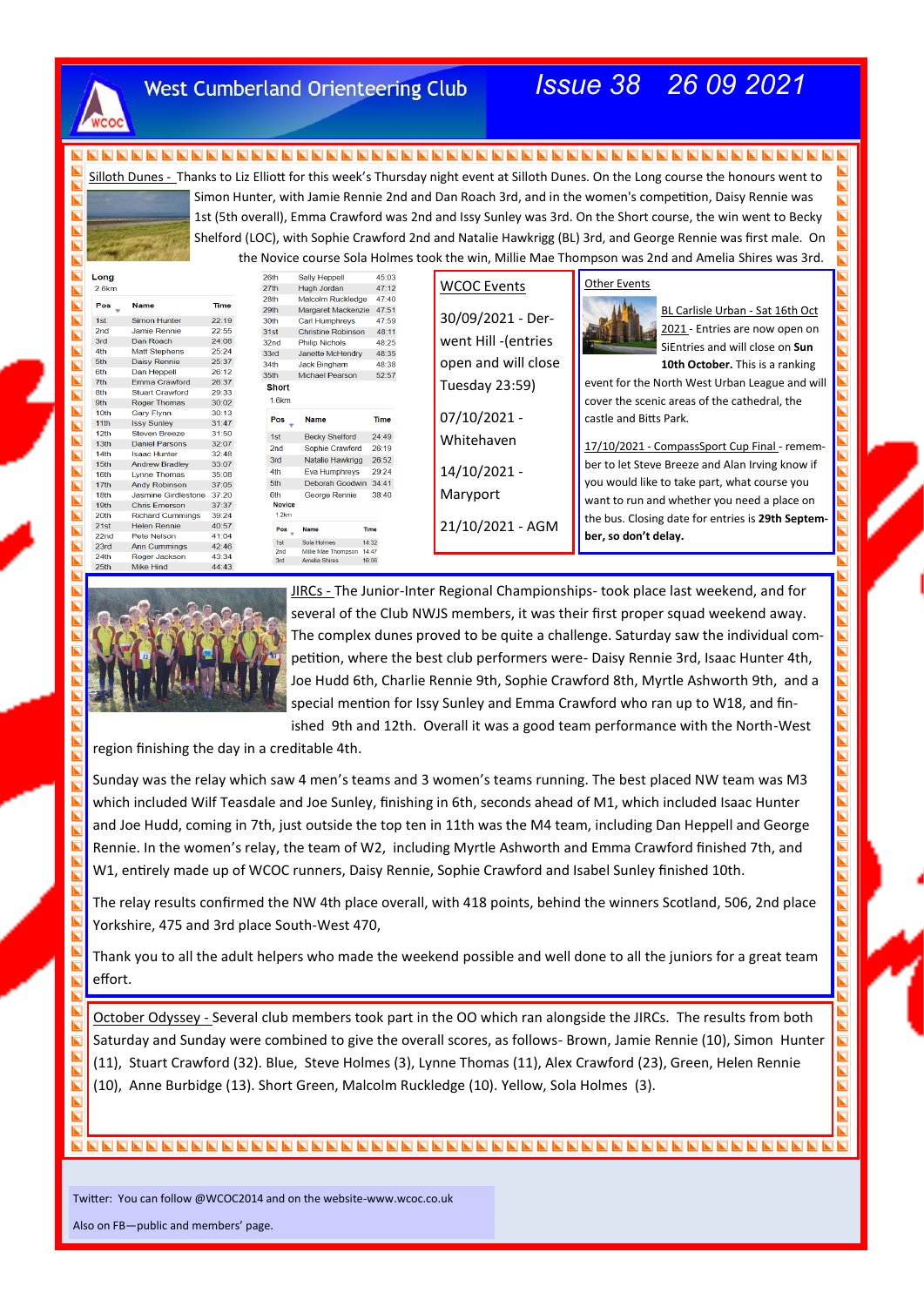

### **West Cumberland Orienteering Club**

# *Issue 38 26 09 2021*

NNNNNNNN Silloth Dunes - Thanks to Liz Elliott for this week's Thursday night event at Silloth Dunes. On the Long course the honours went to Simon Hunter, with Jamie Rennie 2nd and Dan Roach 3rd, and in the women's competition, Daisy Rennie was 1st (5th overall), Emma Crawford was 2nd and Issy Sunley was 3rd. On the Short course, the win went to Becky Shelford (LOC), with Sophie Crawford 2nd and Natalie Hawkrigg (BL) 3rd, and George Rennie was first male. On the Novice course Sola Holmes took the win, Millie Mae Thompson was 2nd and Amelia Shires was 3rd.  $\blacksquare$ 

| Long<br>2.6km    |                            |       |
|------------------|----------------------------|-------|
| Pos              | <b>Name</b>                | Time  |
| 1st              | <b>Simon Hunter</b>        | 22:19 |
| 2 <sub>nd</sub>  | <b>Jamie Rennie</b>        | 22:55 |
| 3rd              | Dan Roach                  | 24:08 |
| 4th              | <b>Matt Stephens</b>       | 25:24 |
| 5th              | <b>Daisy Rennie</b>        | 25:37 |
| 6th              | Dan Heppell                | 26:12 |
| 7 <sub>th</sub>  | Emma Crawford              | 26:37 |
| 8th              | <b>Stuart Crawford</b>     | 29:33 |
| 9th              | <b>Roger Thomas</b>        | 30:02 |
| 10th             | <b>Gary Flynn</b>          | 30:13 |
| 11 <sub>th</sub> | <b>Issy Sunley</b>         | 31:47 |
| 12 <sub>th</sub> | Steven Breeze              | 31:50 |
| 13th             | <b>Daniel Parsons</b>      | 32:07 |
| 14th             | <b>Isaac Hunter</b>        | 32:48 |
| 15th             | <b>Andrew Bradlev</b>      | 33:07 |
| 16th             | <b>Lynne Thomas</b>        | 35:08 |
| 17th             | <b>Andy Robinson</b>       | 37:05 |
| 18th             | <b>Jasmine Girdlestone</b> | 37:20 |
| 19th             | <b>Chris Emerson</b>       | 37:37 |
| 20th             | <b>Richard Cummings</b>    | 39:24 |
| 21st             | <b>Helen Rennie</b>        | 40:57 |
| 22 <sub>nd</sub> | Pete Nelson                | 41:04 |
| 23rd             | <b>Ann Cummings</b>        | 42:46 |
| 24th             | Roger Jackson              | 43:34 |
| 25th             | Mike Hind                  | 44:43 |

 $26$ th Sally Hennel  $45:03$  $27th$ Hugh Jordan  $47:12$  $28th$ Malcolm Ruckledge 47:40 Margaret Mackenzie 47:51 29th  $30H$ Carl Humphrovs  $47.59$  $31st$ Christine Robinson 48:11 **Philip Nichols** 32nd 48:25  $33rd$ Janette McHendry 48:35  $34<sub>th</sub>$ **Jack Bingham** 48:38 Michael Pearson 52:57  $35<sub>th</sub>$ Short  $1.6<sub>km</sub>$  $Pos$ **Name** Time 1st **Becky Shelford** 24:49  $2nc$ Sophie Crawford  $26:19$ Natalie Hawkrigg 26:52 3rd  $4<sup>th</sup>$ Eva Humphreys 29:24 Deborah Goodwin 34:41 5th 6<sup>th</sup> George Rennie 38:40  $1.2k$ r Pos Time Sola Holmes 14:32<br>Millie Mae Thompson 14:47<br>Amelia Shires 16:06  $1st$  $\frac{2nd}{3rd}$ 

# WCOC Events 30/09/2021 - Derwent Hill -(entries open and will close Tuesday 23:59) 07/10/2021 - Whitehaven 14/10/2021 - Maryport 21/10/2021 - AGM

#### Other Events



BL Carlisle Urban - Sat 16th Oct 2021 - Entries are now open on SiEntries and will close on **Sun 10th October.** This is a ranking

⊡

 $\blacksquare$ 

⊓

 $\overline{\mathbf{N}}$ 

 $\overline{\mathbf{N}}$ 

 $\blacksquare$ 

Ы

 $\blacksquare$ 

 $\blacksquare$ 

 $\blacksquare$ 

 $\blacksquare$ 

 $\overline{\mathbf{u}}$  $\overline{\mathbf{N}}$  $\overline{\blacksquare}$  $\overline{\mathbf{z}}$  $\overline{\mathbf{N}}$  $\blacksquare$  $\overline{\mathbf{N}}$  $\overline{\mathbf{N}}$  $\overline{\mathbf{z}}$  $\overline{\mathbf{z}}$  $\overline{\mathbf{z}}$  $\blacksquare$  $\overline{\mathbf{z}}$  $\blacksquare$  $\blacksquare$  $\blacksquare$  $\overline{\blacksquare}$  $\overline{\mathbf{N}}$  $\blacksquare$  $\blacksquare$  $\blacksquare$  $\blacksquare$  $\overline{\mathbf{N}}$  $\blacksquare$  $\overline{\blacksquare}$  $\overline{\mathbf{z}}$  $\blacksquare$  $\blacksquare$  $\blacksquare$  $\overline{\mathbf{z}}$  $\blacksquare$  $\overline{\mathbf{z}}$  $\overline{\mathbf{u}}$  $\blacksquare$ 

event for the North West Urban League and will cover the scenic areas of the cathedral, the castle and Bitts Park.

17/10/2021 - CompassSport Cup Final - remember to let Steve Breeze and Alan Irving know if you would like to take part, what course you want to run and whether you need a place on the bus. Closing date for entries is **29th September, so don't delay.**



JIRCs - The Junior-Inter Regional Championships- took place last weekend, and for several of the Club NWJS members, it was their first proper squad weekend away. The complex dunes proved to be quite a challenge. Saturday saw the individual competition, where the best club performers were- Daisy Rennie 3rd, Isaac Hunter 4th, Joe Hudd 6th, Charlie Rennie 9th, Sophie Crawford 8th, Myrtle Ashworth 9th, and a special mention for Issy Sunley and Emma Crawford who ran up to W18, and finished 9th and 12th. Overall it was a good team performance with the North-West

region finishing the day in a creditable 4th.

Sunday was the relay which saw 4 men's teams and 3 women's teams running. The best placed NW team was M3 which included Wilf Teasdale and Joe Sunley, finishing in 6th, seconds ahead of M1, which included Isaac Hunter and Joe Hudd, coming in 7th, just outside the top ten in 11th was the M4 team, including Dan Heppell and George Rennie. In the women's relay, the team of W2, including Myrtle Ashworth and Emma Crawford finished 7th, and W1, entirely made up of WCOC runners, Daisy Rennie, Sophie Crawford and Isabel Sunley finished 10th.

The relay results confirmed the NW 4th place overall, with 418 points, behind the winners Scotland, 506, 2nd place Yorkshire, 475 and 3rd place South-West 470,

Thank you to all the adult helpers who made the weekend possible and well done to all the juniors for a great team effort.

October Odyssey - Several club members took part in the OO which ran alongside the JIRCs. The results from both Saturday and Sunday were combined to give the overall scores, as follows- Brown, Jamie Rennie (10), Simon Hunter (11), Stuart Crawford (32). Blue, Steve Holmes (3), Lynne Thomas (11), Alex Crawford (23), Green, Helen Rennie (10), Anne Burbidge (13). Short Green, Malcolm Ruckledge (10). Yellow, Sola Holmes (3).

#### 

Twitter: You can follow @WCOC2014 and on the website-www.wcoc.co.uk

Also on FB—public and members' page.